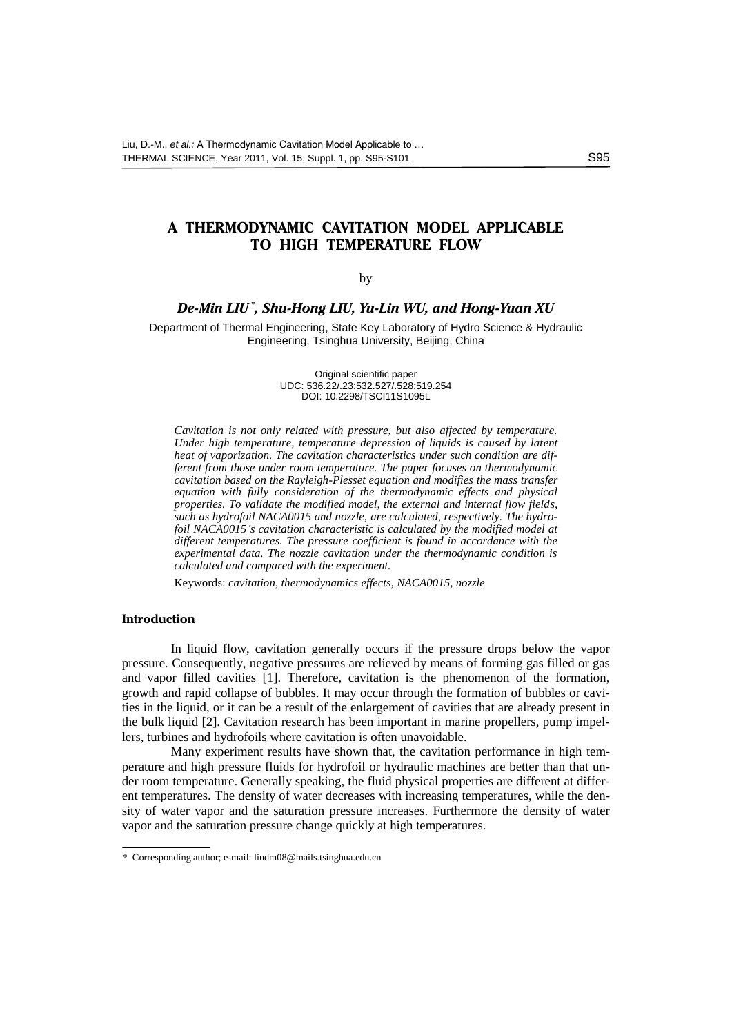# **A THERMODYNAMIC CAVITATION MODEL APPLICABLE TO HIGH TEMPERATURE FLOW**

## by

## *De-Min LIU \* , Shu-Hong LIU, Yu-Lin WU, and Hong-Yuan XU*

Department of Thermal Engineering, State Key Laboratory of Hydro Science & Hydraulic Engineering, Tsinghua University, Beijing, China

> Original scientific paper UDC: 536.22/.23:532.527/.528:519.254 DOI: 10.2298/TSCI11S1095L

*Cavitation is not only related with pressure, but also affected by temperature. Under high temperature, temperature depression of liquids is caused by latent heat of vaporization. The cavitation characteristics under such condition are different from those under room temperature. The paper focuses on thermodynamic cavitation based on the Rayleigh-Plesset equation and modifies the mass transfer equation with fully consideration of the thermodynamic effects and physical properties. To validate the modified model, the external and internal flow fields, such as hydrofoil NACA0015 and nozzle, are calculated, respectively. The hydrofoil NACA0015's cavitation characteristic is calculated by the modified model at different temperatures. The pressure coefficient is found in accordance with the experimental data. The nozzle cavitation under the thermodynamic condition is calculated and compared with the experiment.* 

Keywords: *cavitation, thermodynamics effects, NACA0015, nozzle*

#### **Introduction**

In liquid flow, cavitation generally occurs if the pressure drops below the vapor pressure. Consequently, negative pressures are relieved by means of forming gas filled or gas and vapor filled cavities [1]. Therefore, cavitation is the phenomenon of the formation, growth and rapid collapse of bubbles. It may occur through the formation of bubbles or cavities in the liquid, or it can be a result of the enlargement of cavities that are already present in the bulk liquid [2]. Cavitation research has been important in marine propellers, pump impellers, turbines and hydrofoils where cavitation is often unavoidable.

Many experiment results have shown that, the cavitation performance in high temperature and high pressure fluids for hydrofoil or hydraulic machines are better than that under room temperature. Generally speaking, the fluid physical properties are different at different temperatures. The density of water decreases with increasing temperatures, while the density of water vapor and the saturation pressure increases. Furthermore the density of water vapor and the saturation pressure change quickly at high temperatures.

<sup>\*</sup> Corresponding author; e-mail[: liudm08@mails.tsinghua.edu.cn](mailto:liudm08@mails.tsinghua.edu.cn)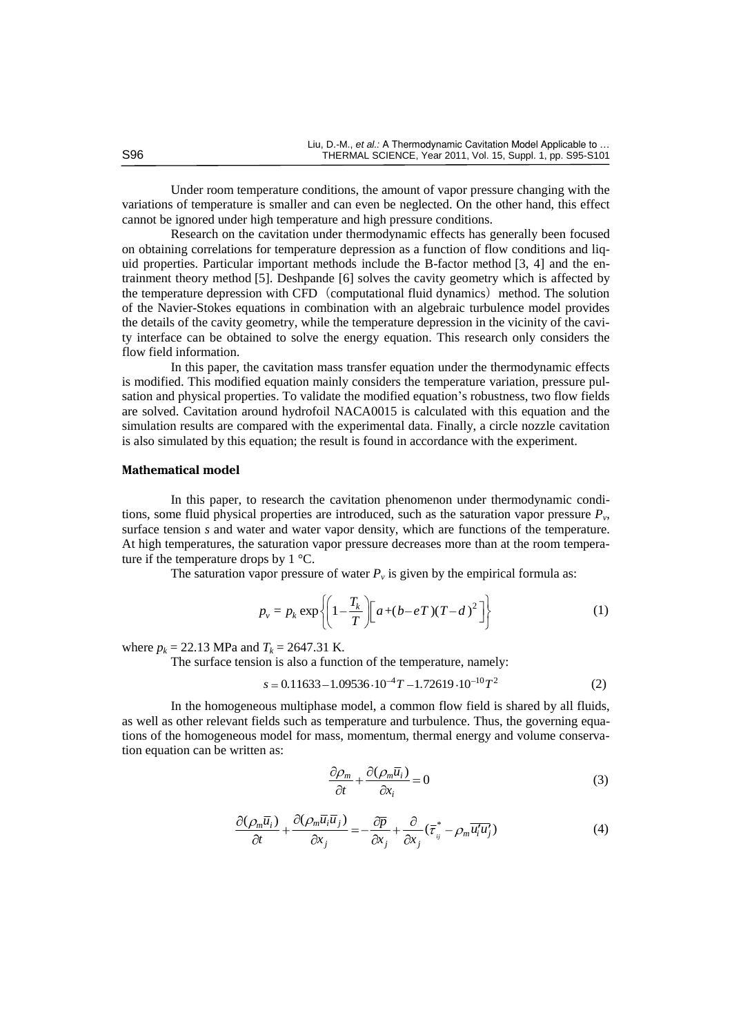Under room temperature conditions, the amount of vapor pressure changing with the variations of temperature is smaller and can even be neglected. On the other hand, this effect cannot be ignored under high temperature and high pressure conditions.

Research on the cavitation under thermodynamic effects has generally been focused on obtaining correlations for temperature depression as a function of flow conditions and liquid properties. Particular important methods include the B-factor method [3, 4] and the entrainment theory method [5]. Deshpande [6] solves the cavity geometry which is affected by the temperature depression with CFD (computational fluid dynamics) method. The solution of the Navier-Stokes equations in combination with an algebraic turbulence model provides the details of the cavity geometry, while the temperature depression in the vicinity of the cavity interface can be obtained to solve the energy equation. This research only considers the flow field information.

In this paper, the cavitation mass transfer equation under the thermodynamic effects is modified. This modified equation mainly considers the temperature variation, pressure pulsation and physical properties. To validate the modified equation's robustness, two flow fields are solved. Cavitation around hydrofoil NACA0015 is calculated with this equation and the simulation results are compared with the experimental data. Finally, a circle nozzle cavitation is also simulated by this equation; the result is found in accordance with the experiment.

## **Mathematical model**

In this paper, to research the cavitation phenomenon under thermodynamic conditions, some fluid physical properties are introduced, such as the saturation vapor pressure *P<sup>v</sup>* , surface tension *s* and water and water vapor density, which are functions of the temperature. At high temperatures, the saturation vapor pressure decreases more than at the room temperature if the temperature drops by 1 °C.

The saturation vapor pressure of water  $P_\nu$  is given by the empirical formula as:

$$
p_{v} = p_{k} \exp\left\{ \left( 1 - \frac{T_{k}}{T} \right) \left[ a + (b - eT)(T - d)^{2} \right] \right\}
$$
 (1)

where  $p_k = 22.13$  MPa and  $T_k = 2647.31$  K.

The surface tension is also a function of the temperature, namely:  
\n
$$
s = 0.11633 - 1.09536 \cdot 10^{-4} T - 1.72619 \cdot 10^{-10} T^2
$$
\n(2)

In the homogeneous multiphase model, a common flow field is shared by all fluids, as well as other relevant fields such as temperature and turbulence. Thus, the governing equations of the homogeneous model for mass, momentum, thermal energy and volume conservation equation can be written as:

$$
\frac{\partial \rho_m}{\partial t} + \frac{\partial (\rho_m \overline{u_i})}{\partial x_i} = 0
$$
\n(3)

$$
\frac{\partial(\rho_m \overline{u}_i)}{\partial t} + \frac{\partial(\rho_m \overline{u}_i \overline{u}_j)}{\partial x_j} = -\frac{\partial \overline{p}}{\partial x_j} + \frac{\partial}{\partial x_j}(\overline{\tau}_{ij}^* - \rho_m \overline{u_i' u_j'})
$$
(4)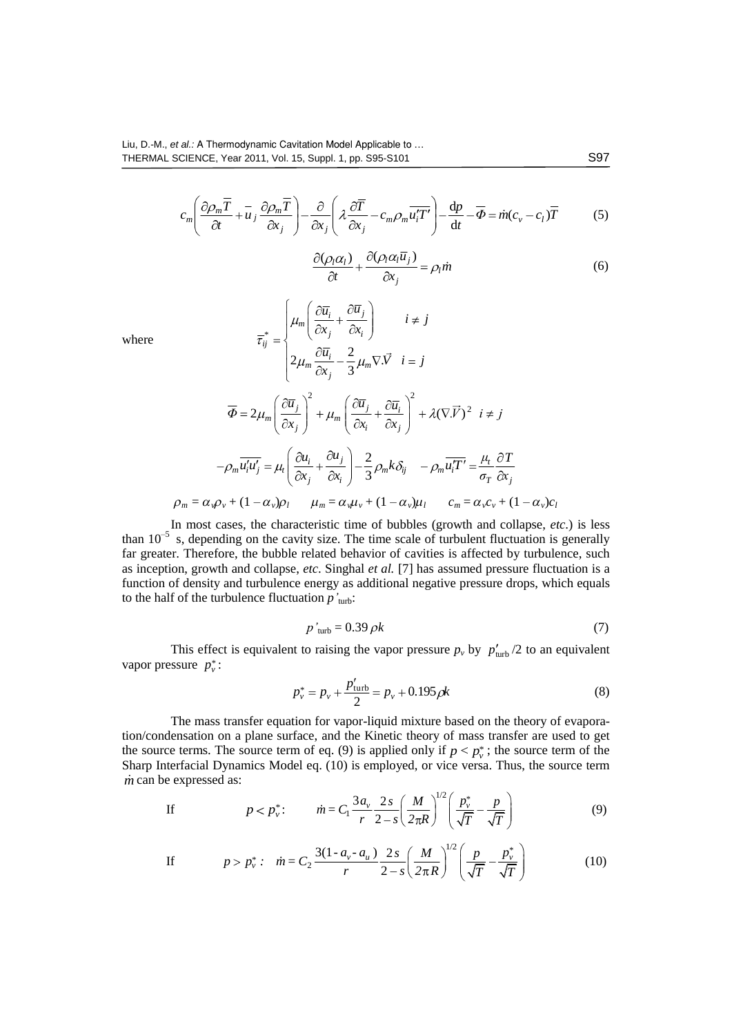$$
c_m \left( \frac{\partial \rho_m \overline{T}}{\partial t} + \overline{u}_j \frac{\partial \rho_m \overline{T}}{\partial x_j} \right) - \frac{\partial}{\partial x_j} \left( \lambda \frac{\partial \overline{T}}{\partial x_j} - c_m \rho_m \overline{u'_i T'} \right) - \frac{dp}{dt} - \overline{\Phi} = \dot{m} (c_v - c_l) \overline{T}
$$
(5)

$$
\frac{\partial(\rho_l \alpha_l)}{\partial t} + \frac{\partial(\rho_l \alpha_l \overline{u}_j)}{\partial x_j} = \rho_l \dot{m}
$$
 (6)

where

$$
\overline{\tau}_{ij}^{*} = \begin{cases}\n\mu_{m} \left( \frac{\partial \overline{u}_{i}}{\partial x_{j}} + \frac{\partial \overline{u}_{j}}{\partial x_{i}} \right) & i \neq j \\
2\mu_{m} \frac{\partial \overline{u}_{i}}{\partial x_{j}} - \frac{2}{3} \mu_{m} \nabla \cdot \overrightarrow{V} & i = j\n\end{cases}
$$
\n
$$
\overline{\Phi} = 2\mu_{m} \left( \frac{\partial \overline{u}_{j}}{\partial x_{j}} \right)^{2} + \mu_{m} \left( \frac{\partial \overline{u}_{j}}{\partial x_{i}} + \frac{\partial \overline{u}_{i}}{\partial x_{j}} \right)^{2} + \lambda (\nabla \cdot \overrightarrow{V})^{2} \quad i \neq j
$$
\n
$$
-\rho_{m} \overrightarrow{u_{i}^{\prime} u_{j}^{\prime}} = \mu_{i} \left( \frac{\partial u_{i}}{\partial x_{j}} + \frac{\partial u_{j}}{\partial x_{i}} \right) - \frac{2}{3} \rho_{m} k \delta_{ij} - \rho_{m} \overrightarrow{u_{i}^{\prime} T^{\prime}} = \frac{\mu_{i}}{\sigma_{T}} \frac{\partial T}{\partial x_{j}}
$$
\n
$$
\rho_{m} = \alpha_{v} \rho_{v} + (1 - \alpha_{v}) \rho_{l} \qquad \mu_{m} = \alpha_{v} \mu_{v} + (1 - \alpha_{v}) \mu_{l} \qquad c_{m} = \alpha_{v} c_{v} + (1 - \alpha_{v}) c_{l}
$$

In most cases, the characteristic time of bubbles (growth and collapse, *etc*.) is less than  $10^{-5}$  s, depending on the cavity size. The time scale of turbulent fluctuation is generally far greater. Therefore, the bubble related behavior of cavities is affected by turbulence, such as inception, growth and collapse, *etc*. Singhal *et al.* [7] has assumed pressure fluctuation is a function of density and turbulence energy as additional negative pressure drops, which equals to the half of the turbulence fluctuation  $p'_{\text{turb}}$ :

$$
p'_{\text{turb}} = 0.39 \,\rho k \tag{7}
$$

This effect is equivalent to raising the vapor pressure  $p_v$  by  $p'_{\text{turb}}/2$  to an equivalent vapor pressure  $p_v^*$ :

$$
p_v^* = p_v + \frac{p'_{\text{turb}}}{2} = p_v + 0.195 \rho k \tag{8}
$$

The mass transfer equation for vapor-liquid mixture based on the theory of evaporation/condensation on a plane surface, and the Kinetic theory of mass transfer are used to get the source terms. The source term of eq. (9) is applied only if  $p < p_v^*$ ; the source term of the Sharp Interfacial Dynamics Model eq. (10) is employed, or vice versa. Thus, the source term *m* can be expressed as:

If 
$$
p < p_v^*
$$
:  $m = C_1 \frac{3a_v}{r} \frac{2s}{2-s} \left(\frac{M}{2\pi R}\right)^{1/2} \left(\frac{p_v^*}{\sqrt{T}} - \frac{p}{\sqrt{T}}\right)$  (9)

If 
$$
p > p_v^*
$$
:  $\dot{m} = C_2 \frac{3(1 - a_v - a_u)}{r} \frac{2s}{2 - s} \left(\frac{M}{2\pi R}\right)^{1/2} \left(\frac{p}{\sqrt{T}} - \frac{p_v^*}{\sqrt{T}}\right)$  (10)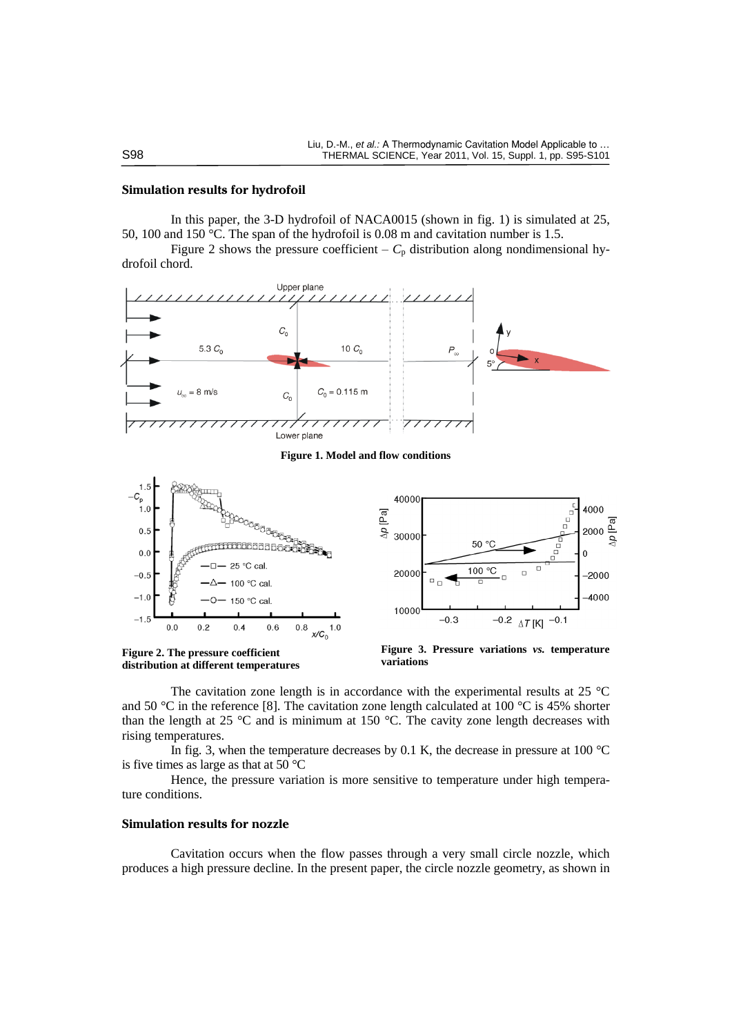## **Simulation results for hydrofoil**

In this paper, the 3-D hydrofoil of NACA0015 (shown in fig. 1) is simulated at 25, 50, 100 and 150 °C. The span of the hydrofoil is 0.08 m and cavitation number is 1.5.

Figure 2 shows the pressure coefficient –  $C_p$  distribution along [nondimensional](app:ds:nondimensional) hydrofoil chord.



**Figure 1. Model and flow conditions**



**Figure 2. The pressure coefficient distribution at different temperatures**



The cavitation zone length is in accordance with the experimental results at 25 °C and 50 °C in the reference [8]. The cavitation zone length calculated at 100 °C is 45% shorter than the length at 25  $\degree$ C and is minimum at 150  $\degree$ C. The cavity zone length decreases with rising temperatures.

In fig. 3, when the temperature decreases by 0.1 K, the decrease in pressure at 100  $^{\circ}$ C is five times as large as that at 50 °C

Hence, the pressure variation is more sensitive to temperature under high temperature conditions.

#### **Simulation results for nozzle**

Cavitation occurs when the flow passes through a very small circle nozzle, which produces a high pressure decline. In the present paper, the circle nozzle geometry, as shown in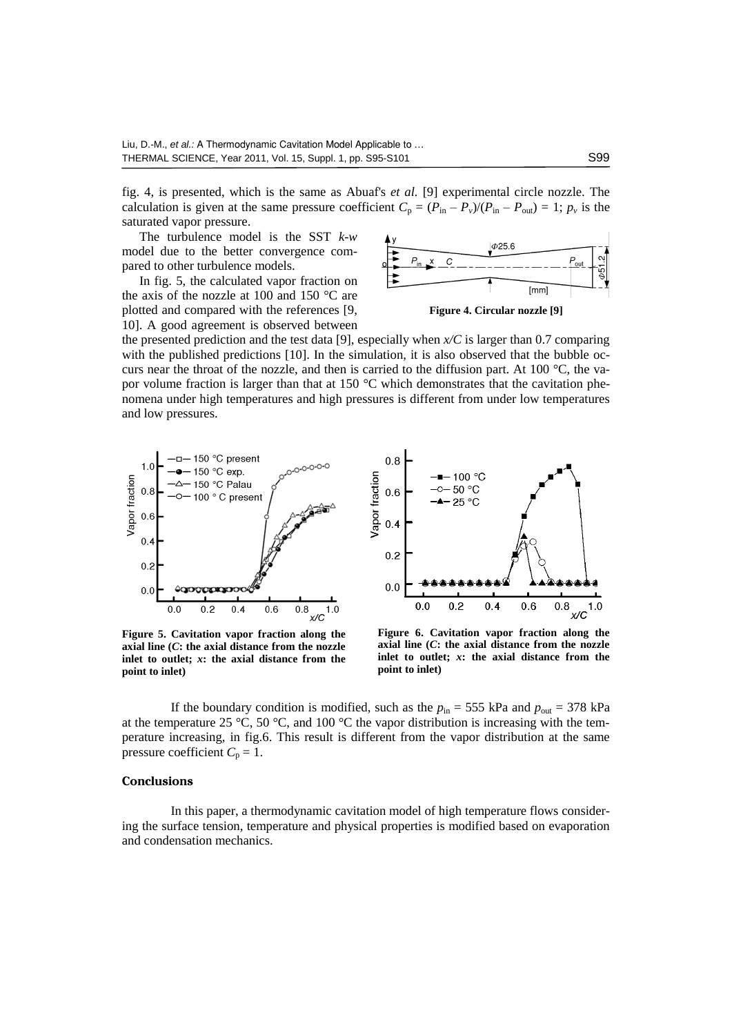fig. 4, is presented, which is the same as Abuaf's *et al.* [9] experimental circle nozzle. The calculation is given at the same pressure coefficient  $C_p = (P_{in} - P_v)/(P_{in} - P_{out}) = 1$ ;  $p_v$  is the saturated vapor pressure.

The turbulence model is the SST *k-w* model due to the better convergence compared to other turbulence models.

In fig. 5, the calculated vapor fraction on the axis of the nozzle at 100 and 150  $\degree$ C are plotted and compared with the references [9, 10]. A good agreement is observed between



**Figure 4. Circular nozzle [9]**

the presented prediction and the test data [9], especially when  $x/C$  is larger than 0.7 comparing with the published predictions [10]. In the simulation, it is also observed that the bubble occurs near the throat of the nozzle, and then is carried to the diffusion part. At 100  $^{\circ}$ C, the vapor volume fraction is larger than that at 150 °C which demonstrates that the cavitation phenomena under high temperatures and high pressures is different from under low temperatures and low pressures.



**Figure 5. Cavitation vapor fraction along the axial line (***C***: the axial distance from the nozzle inlet to outlet;** *x***: the axial distance from the point to inlet)**



**Figure 6. Cavitation vapor fraction along the axial line (***C***: the axial distance from the nozzle inlet to outlet;** *x***: the axial distance from the point to inlet)**

If the boundary condition is modified, such as the  $p_{in} = 555$  kPa and  $p_{out} = 378$  kPa at the temperature 25 °C, 50 °C, and 100 °C the vapor distribution is increasing with the temperature increasing, in fig.6. This result is different from the vapor distribution at the same pressure coefficient  $C_p = 1$ .

#### **Conclusions**

In this paper, a thermodynamic cavitation model of high temperature flows considering the surface tension, temperature and physical properties is modified based on evaporation and condensation mechanics.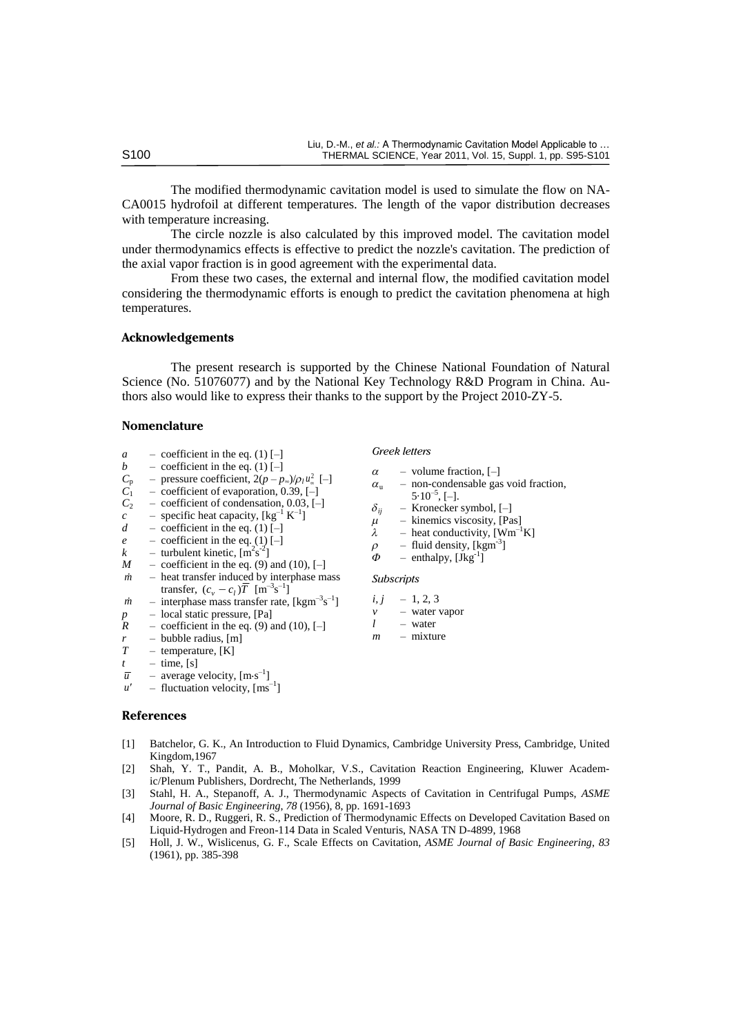The modified thermodynamic cavitation model is used to simulate the flow on NA-CA0015 hydrofoil at different temperatures. The length of the vapor distribution decreases with temperature increasing.

The circle nozzle is also calculated by this improved model. The cavitation model under thermodynamics effects is effective to predict the nozzle's cavitation. The prediction of the axial vapor fraction is in good agreement with the experimental data.

From these two cases, the external and internal flow, the modified cavitation model considering the thermodynamic efforts is enough to predict the cavitation phenomena at high temperatures.

#### **Acknowledgements**

The present research is supported by the Chinese National Foundation of Natural Science (No. 51076077) and by the National Key Technology R&D Program in China. Authors also would like to express their thanks to the support by the Project 2010-ZY-5.

## **Nomenclature**

- $a -$  coefficient in the eq. (1)  $[-]$
- *b* coefficient in the eq. (1) [–]<br>  $C_p$  pressure coefficient,  $2(p-p)$
- $C_p$  pressure coefficient,  $2(p p_{\infty})/p_l u_{\infty}^2$  [–]
- $\overrightarrow{C_1}$  coefficient of evaporation, 0.39, [–]<br>  $\overrightarrow{C_2}$  coefficient of condensation, 0.03, [–]
- $C_2$  coefficient of condensation, 0.03, [–]<br>  $c$  specific heat capacity, [kg<sup>-1</sup> K<sup>-1</sup>]
- $c$  specific heat capacity,  $[\text{kg}^{-1} \text{ K}^{-1}]$
- *d* coefficient in the eq. (1)  $\overline{[-]}$
- *e* coefficient in the eq. (1) [–]<br> *k* turbulent kinetic,  $\lfloor m^2 s^{-2} \rfloor$
- $k$  turbulent kinetic,  $\left[\text{m}^2\text{s}^{-2}\right]$
- $M$  coefficient in the eq. (9) and (10),  $[-]$ *m* – heat transfer induced by interphase mass
- transfer,  $(c_v c_l)\overline{T}$  [m<sup>-3</sup>s<sup>-1</sup>]
- $\dot{m}$  interphase mass transfer rate, [kgm<sup>-3</sup>s<sup>-1</sup>]
- $p$  local static pressure, [Pa]<br> $R$  coefficient in the eq. (9) a
- $P$  coefficient in the eq. (9) and (10),  $[-]$
- $r$  bubble radius, [m]<br> $T$  temperature, [K]
- temperature, [K]
- $t =$  time, [s]
- $\overline{u}$  average velocity, [m·s<sup>-1</sup>]
- $u'$  fluctuation velocity,  $\text{[ms}^{-1}]$

#### **References**

- [1] Batchelor, G. K., An Introduction to Fluid Dynamics, Cambridge University Press, Cambridge, United Kingdom,1967
- [2] Shah, Y. T., Pandit, A. B., Moholkar, V.S., Cavitation Reaction Engineering, Kluwer Academic/Plenum Publishers, Dordrecht, The Netherlands, 1999
- [3] Stahl, H. A., Stepanoff, A. J., Thermodynamic Aspects of Cavitation in Centrifugal Pumps, *ASME Journal of Basic Engineering*, *78* (1956), 8, pp. 1691-1693
- [4] Moore, R. D., Ruggeri, R. S., Prediction of Thermodynamic Effects on Developed Cavitation Based on Liquid-Hydrogen and Freon-114 Data in Scaled Venturis, NASA TN D-4899, 1968
- [5] Holl, J. W., Wislicenus, G. F., Scale Effects on Cavitation, *ASME Journal of Basic Engineering*, *83* (1961), pp. 385-398

*Greek letters*

- $\alpha$  volume fraction, [-]
- $\alpha$ <sub>u</sub> non-condensable gas void fraction,
- $5.10^{-5}$ , [-].
- $\delta_{ii}$  Kronecker symbol, [–]
- $\mu$  kinemics viscosity, [Pas]<br>  $\lambda$  heat conductivity. [Wm<sup>-1</sup>]
- $\lambda$  heat conductivity, [Wm<sup>-1</sup>K]<br>  $\rho$  fluid density, [kgm<sup>-3</sup>]
- $\rho$  fluid density, [kgm<sup>-3</sup>]
- $\Phi$  enthalpy, [Jkg<sup>-1</sup>]

## *Subscripts*

- $i, j = 1, 2, 3$
- *v* water vapor
- *l* water
- *m* mixture